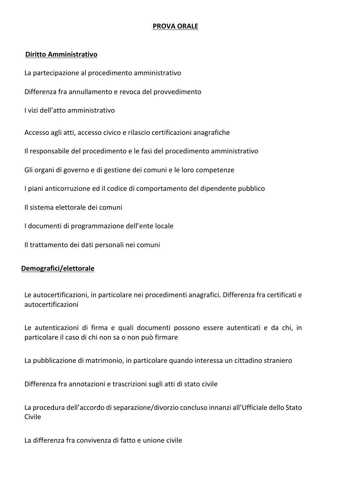#### **PROVA ORALE**

#### **Diritto Amministrativo**

La partecipazione al procedimento amministrativo

Differenza fra annullamento e revoca del provvedimento

I vizi dell'atto amministrativo

Accesso agli atti, accesso civico e rilascio certificazioni anagrafiche

Il responsabile del procedimento e le fasi del procedimento amministrativo

Gli organi di governo e di gestione dei comuni e le loro competenze

I piani anticorruzione ed il codice di comportamento del dipendente pubblico

Il sistema elettorale dei comuni

I documenti di programmazione dell'ente locale

Il trattamento dei dati personali nei comuni

#### **Demografici/elettorale**

Le autocertificazioni, in particolare nei procedimenti anagrafici. Differenza fra certificati e autocertificazioni

Le autenticazioni di firma e quali documenti possono essere autenticati e da chi, in particolare il caso di chi non sa o non può firmare

La pubblicazione di matrimonio, in particolare quando interessa un cittadino straniero

Differenza fra annotazioni e trascrizioni sugli atti di stato civile

La procedura dell'accordo di separazione/divorzio concluso innanzi all'Ufficiale dello Stato Civile

La differenza fra convivenza di fatto e unione civile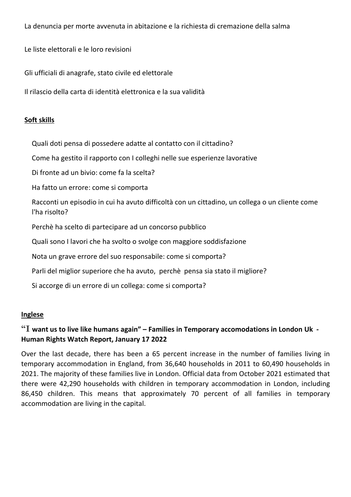La denuncia per morte avvenuta in abitazione e la richiesta di cremazione della salma

Le liste elettorali e le loro revisioni

Gli ufficiali di anagrafe, stato civile ed elettorale

Il rilascio della carta di identità elettronica e la sua validità

#### **Soft skills**

Quali doti pensa di possedere adatte al contatto con il cittadino?

Come ha gestito il rapporto con I colleghi nelle sue esperienze lavorative

Di fronte ad un bivio: come fa la scelta?

Ha fatto un errore: come si comporta

Racconti un episodio in cui ha avuto difficoltà con un cittadino, un collega o un cliente come l'ha risolto?

Perchè ha scelto di partecipare ad un concorso pubblico

Quali sono I lavori che ha svolto o svolge con maggiore soddisfazione

Nota un grave errore del suo responsabile: come si comporta?

Parli del miglior superiore che ha avuto, perchè pensa sia stato il migliore?

Si accorge di un errore di un collega: come si comporta?

#### **Inglese**

## **"I want us to live like humans again" – Families in Temporary accomodations in London Uk - Human Rights Watch Report, January 17 2022**

Over the last decade, there has been a 65 percent increase in the number of families living in temporary accommodation in England, from 36,640 households in 2011 to 60,490 households in 2021. The majority of these families live in London. Official data from October 2021 estimated that there were 42,290 households with children in temporary accommodation in London, including 86,450 children. This means that approximately 70 percent of all families in temporary accommodation are living in the capital.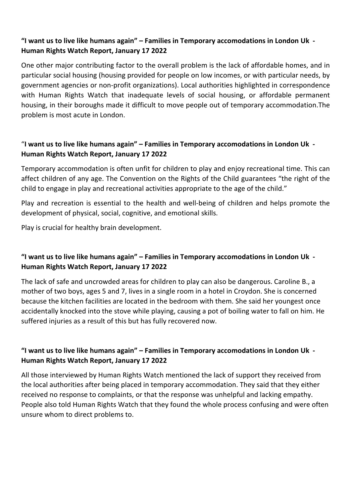## **"I want us to live like humans again" – Families in Temporary accomodations in London Uk - Human Rights Watch Report, January 17 2022**

One other major contributing factor to the overall problem is the lack of affordable homes, and in particular social housing (housing provided for people on low incomes, or with particular needs, by government agencies or non-profit organizations). Local authorities highlighted in correspondence with Human Rights Watch that inadequate levels of social housing, or affordable permanent housing, in their boroughs made it difficult to move people out of temporary accommodation.The problem is most acute in London.

## "**I want us to live like humans again" – Families in Temporary accomodations in London Uk - Human Rights Watch Report, January 17 2022**

Temporary accommodation is often unfit for children to play and enjoy recreational time. This can affect children of any age. The Convention on the Rights of the Child guarantees "the right of the child to engage in play and recreational activities appropriate to the age of the child."

Play and recreation is essential to the health and well-being of children and helps promote the development of physical, social, cognitive, and emotional skills.

Play is crucial for healthy brain development.

# **"I want us to live like humans again" – Families in Temporary accomodations in London Uk - Human Rights Watch Report, January 17 2022**

The lack of safe and uncrowded areas for children to play can also be dangerous. Caroline B., a mother of two boys, ages 5 and 7, lives in a single room in a hotel in Croydon. She is concerned because the kitchen facilities are located in the bedroom with them. She said her youngest once accidentally knocked into the stove while playing, causing a pot of boiling water to fall on him. He suffered injuries as a result of this but has fully recovered now.

# **"I want us to live like humans again" – Families in Temporary accomodations in London Uk - Human Rights Watch Report, January 17 2022**

All those interviewed by Human Rights Watch mentioned the lack of support they received from the local authorities after being placed in temporary accommodation. They said that they either received no response to complaints, or that the response was unhelpful and lacking empathy. People also told Human Rights Watch that they found the whole process confusing and were often unsure whom to direct problems to.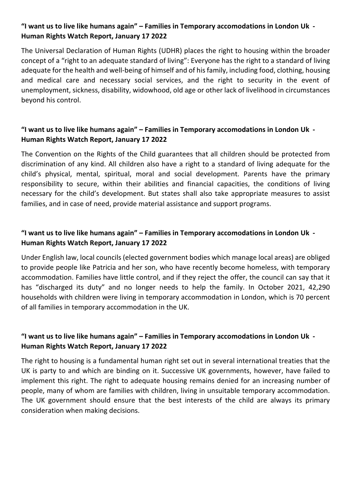# **"I want us to live like humans again" – Families in Temporary accomodations in London Uk - Human Rights Watch Report, January 17 2022**

The Universal Declaration of Human Rights (UDHR) places the right to housing within the broader concept of a "right to an adequate standard of living": Everyone has the right to a standard of living adequate for the health and well-being of himself and of his family, including food, clothing, housing and medical care and necessary social services, and the right to security in the event of unemployment, sickness, disability, widowhood, old age or other lack of livelihood in circumstances beyond his control.

## **"I want us to live like humans again" – Families in Temporary accomodations in London Uk - Human Rights Watch Report, January 17 2022**

The Convention on the Rights of the Child guarantees that all children should be protected from discrimination of any kind. All children also have a right to a standard of living adequate for the child's physical, mental, spiritual, moral and social development. Parents have the primary responsibility to secure, within their abilities and financial capacities, the conditions of living necessary for the child's development. But states shall also take appropriate measures to assist families, and in case of need, provide material assistance and support programs.

### **"I want us to live like humans again" – Families in Temporary accomodations in London Uk - Human Rights Watch Report, January 17 2022**

Under English law, local councils (elected government bodies which manage local areas) are obliged to provide people like Patricia and her son, who have recently become homeless, with temporary accommodation. Families have little control, and if they reject the offer, the council can say that it has "discharged its duty" and no longer needs to help the family. In October 2021, 42,290 households with children were living in temporary accommodation in London, which is 70 percent of all families in temporary accommodation in the UK.

## **"I want us to live like humans again" – Families in Temporary accomodations in London Uk - Human Rights Watch Report, January 17 2022**

The right to housing is a fundamental human right set out in several international treaties that the UK is party to and which are binding on it. Successive UK governments, however, have failed to implement this right. The right to adequate housing remains denied for an increasing number of people, many of whom are families with children, living in unsuitable temporary accommodation. The UK government should ensure that the best interests of the child are always its primary consideration when making decisions.